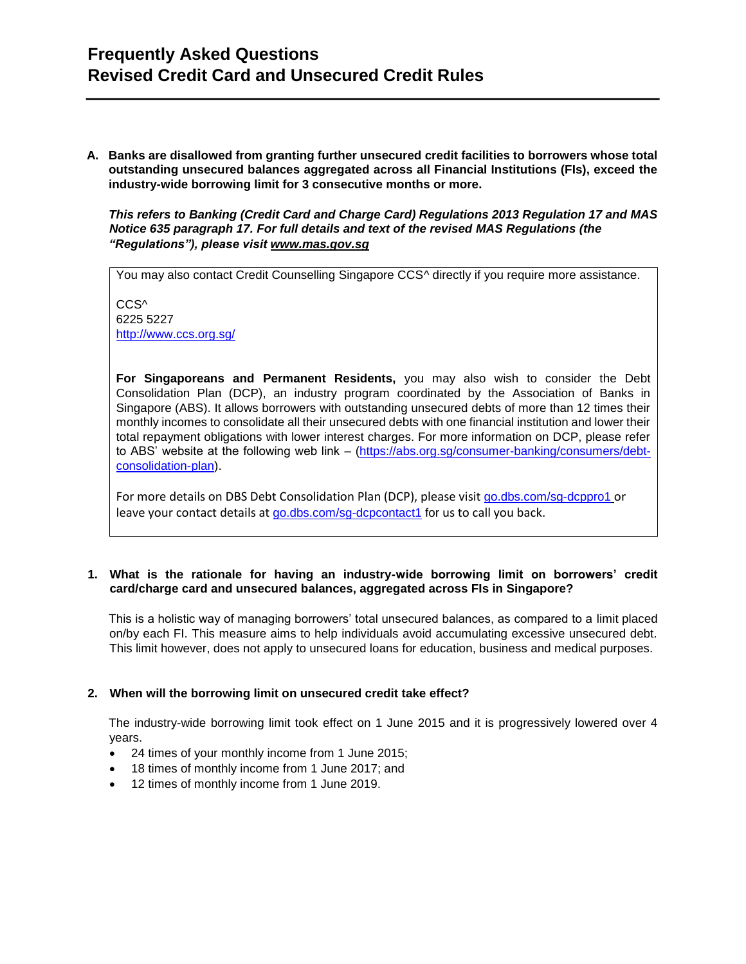## **Frequently Asked Questions Revised Credit Card and Unsecured Credit Rules**

**A. Banks are disallowed from granting further unsecured credit facilities to borrowers whose total outstanding unsecured balances aggregated across all Financial Institutions (FIs), exceed the industry-wide borrowing limit for 3 consecutive months or more.** 

*This refers to Banking (Credit Card and Charge Card) Regulations 2013 Regulation 17 and MAS Notice 635 paragraph 17. For full details and text of the revised MAS Regulations (the "Regulations"), please visit [www.mas.gov.sg](http://www.mas.gov.sg/)*

You may also contact Credit Counselling Singapore CCS<sup>^</sup> directly if you require more assistance.

CCS<sup>^</sup> 6225 5227 <http://www.ccs.org.sg/>

**For Singaporeans and Permanent Residents,** you may also wish to consider the Debt Consolidation Plan (DCP), an industry program coordinated by the Association of Banks in Singapore (ABS). It allows borrowers with outstanding unsecured debts of more than 12 times their monthly incomes to consolidate all their unsecured debts with one financial institution and lower their total repayment obligations with lower interest charges. For more information on DCP, please refer to ABS' website at the following web link – [\(https://abs.org.sg/consumer-banking/consumers/debt](https://abs.org.sg/consumer-banking/consumers/debt-consolidation-plan)[consolidation-plan\)](https://abs.org.sg/consumer-banking/consumers/debt-consolidation-plan).

For more details on DBS Debt Consolidation Plan (DCP), please visit go.dbs.com/sg-dcppro1 or leave your contact details at go.dbs.com/sg-dcpcontact1 for us to call you back.

#### **1. What is the rationale for having an industry-wide borrowing limit on borrowers' credit card/charge card and unsecured balances, aggregated across FIs in Singapore?**

This is a holistic way of managing borrowers' total unsecured balances, as compared to a limit placed on/by each FI. This measure aims to help individuals avoid accumulating excessive unsecured debt. This limit however, does not apply to unsecured loans for education, business and medical purposes.

#### **2. When will the borrowing limit on unsecured credit take effect?**

The industry-wide borrowing limit took effect on 1 June 2015 and it is progressively lowered over 4 years.

- 24 times of your monthly income from 1 June 2015;
- 18 times of monthly income from 1 June 2017; and
- 12 times of monthly income from 1 June 2019.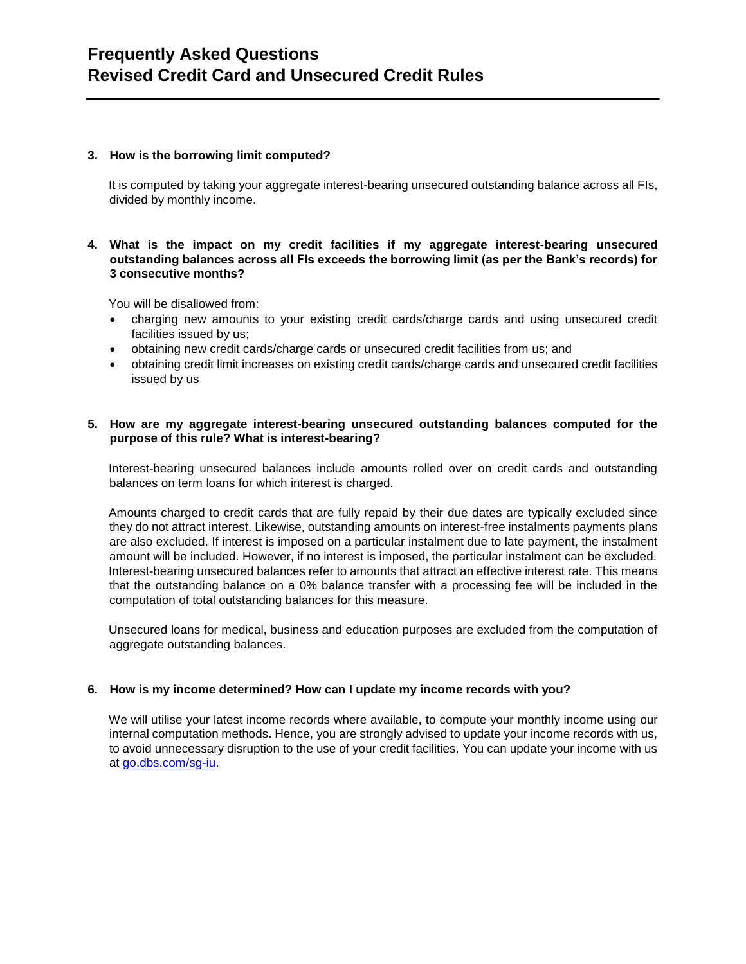#### **3. How is the borrowing limit computed?**

It is computed by taking your aggregate interest-bearing unsecured outstanding balance across all FIs, divided by monthly income.

#### **4. What is the impact on my credit facilities if my aggregate interest-bearing unsecured outstanding balances across all FIs exceeds the borrowing limit (as per the Bank's records) for 3 consecutive months?**

You will be disallowed from:

- charging new amounts to your existing credit cards/charge cards and using unsecured credit facilities issued by us;
- obtaining new credit cards/charge cards or unsecured credit facilities from us; and
- obtaining credit limit increases on existing credit cards/charge cards and unsecured credit facilities issued by us

#### **5. How are my aggregate interest-bearing unsecured outstanding balances computed for the purpose of this rule? What is interest-bearing?**

Interest-bearing unsecured balances include amounts rolled over on credit cards and outstanding balances on term loans for which interest is charged.

Amounts charged to credit cards that are fully repaid by their due dates are typically excluded since they do not attract interest. Likewise, outstanding amounts on interest-free instalments payments plans are also excluded. If interest is imposed on a particular instalment due to late payment, the instalment amount will be included. However, if no interest is imposed, the particular instalment can be excluded. Interest-bearing unsecured balances refer to amounts that attract an effective interest rate. This means that the outstanding balance on a 0% balance transfer with a processing fee will be included in the computation of total outstanding balances for this measure.

Unsecured loans for medical, business and education purposes are excluded from the computation of aggregate outstanding balances.

#### **6. How is my income determined? How can I update my income records with you?**

We will utilise your latest income records where available, to compute your monthly income using our internal computation methods. Hence, you are strongly advised to update your income records with us, to avoid unnecessary disruption to the use of your credit facilities. You can update your income with us at go.dbs.com/sg-iu.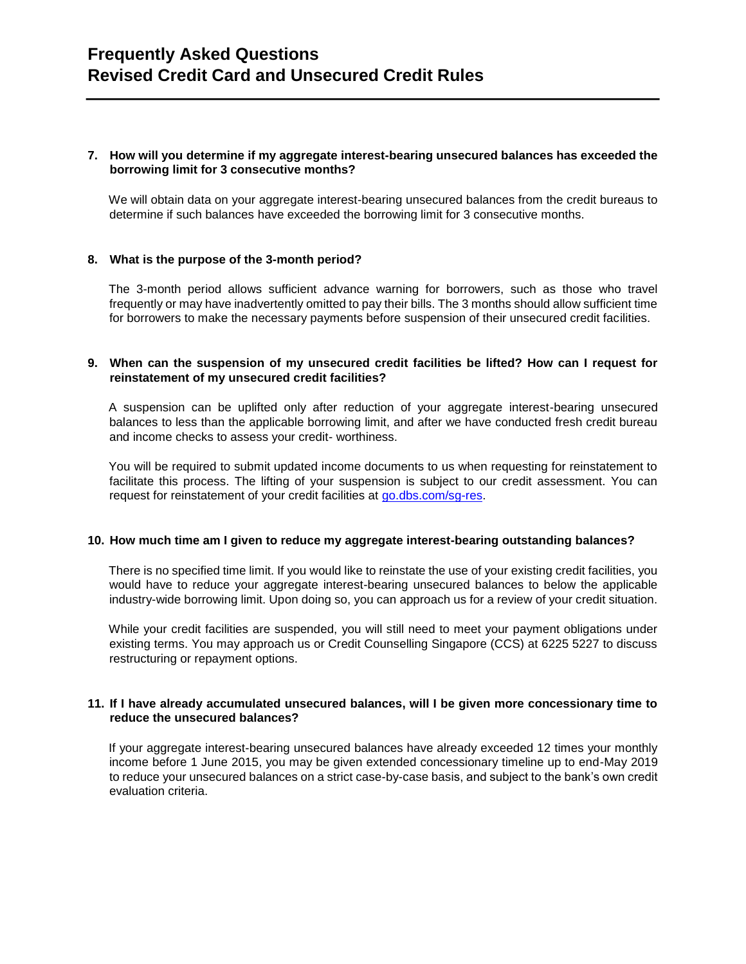#### **7. How will you determine if my aggregate interest-bearing unsecured balances has exceeded the borrowing limit for 3 consecutive months?**

We will obtain data on your aggregate interest-bearing unsecured balances from the credit bureaus to determine if such balances have exceeded the borrowing limit for 3 consecutive months.

#### **8. What is the purpose of the 3-month period?**

The 3-month period allows sufficient advance warning for borrowers, such as those who travel frequently or may have inadvertently omitted to pay their bills. The 3 months should allow sufficient time for borrowers to make the necessary payments before suspension of their unsecured credit facilities.

#### **9. When can the suspension of my unsecured credit facilities be lifted? How can I request for reinstatement of my unsecured credit facilities?**

A suspension can be uplifted only after reduction of your aggregate interest-bearing unsecured balances to less than the applicable borrowing limit, and after we have conducted fresh credit bureau and income checks to assess your credit- worthiness.

You will be required to submit updated income documents to us when requesting for reinstatement to facilitate this process. The lifting of your suspension is subject to our credit assessment. You can request for reinstatement of your credit facilities at go.dbs.com/sg-res.

#### **10. How much time am I given to reduce my aggregate interest-bearing outstanding balances?**

There is no specified time limit. If you would like to reinstate the use of your existing credit facilities, you would have to reduce your aggregate interest-bearing unsecured balances to below the applicable industry-wide borrowing limit. Upon doing so, you can approach us for a review of your credit situation.

While your credit facilities are suspended, you will still need to meet your payment obligations under existing terms. You may approach us or Credit Counselling Singapore (CCS) at 6225 5227 to discuss restructuring or repayment options.

#### **11. If I have already accumulated unsecured balances, will I be given more concessionary time to reduce the unsecured balances?**

If your aggregate interest-bearing unsecured balances have already exceeded 12 times your monthly income before 1 June 2015, you may be given extended concessionary timeline up to end-May 2019 to reduce your unsecured balances on a strict case-by-case basis, and subject to the bank's own credit evaluation criteria.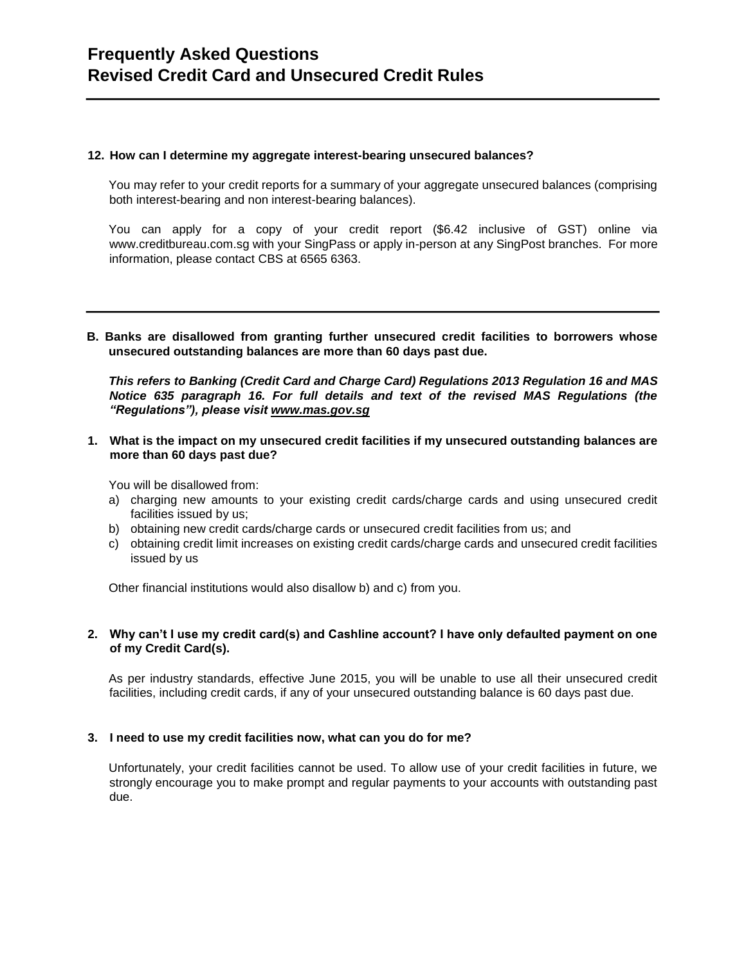#### **12. How can I determine my aggregate interest-bearing unsecured balances?**

You may refer to your credit reports for a summary of your aggregate unsecured balances (comprising both interest-bearing and non interest-bearing balances).

You can apply for a copy of your credit report (\$6.42 inclusive of GST) online via www.creditbureau.com.sg with your SingPass or apply in-person at any SingPost branches. For more information, please contact CBS at 6565 6363.

**B. Banks are disallowed from granting further unsecured credit facilities to borrowers whose unsecured outstanding balances are more than 60 days past due.** 

*This refers to Banking (Credit Card and Charge Card) Regulations 2013 Regulation 16 and MAS Notice 635 paragraph 16. For full details and text of the revised MAS Regulations (the "Regulations"), please visit [www.mas.gov.sg](http://www.mas.gov.sg/)*

**1. What is the impact on my unsecured credit facilities if my unsecured outstanding balances are more than 60 days past due?** 

You will be disallowed from:

- a) charging new amounts to your existing credit cards/charge cards and using unsecured credit facilities issued by us;
- b) obtaining new credit cards/charge cards or unsecured credit facilities from us; and
- c) obtaining credit limit increases on existing credit cards/charge cards and unsecured credit facilities issued by us

Other financial institutions would also disallow b) and c) from you.

#### **2. Why can't I use my credit card(s) and Cashline account? I have only defaulted payment on one of my Credit Card(s).**

As per industry standards, effective June 2015, you will be unable to use all their unsecured credit facilities, including credit cards, if any of your unsecured outstanding balance is 60 days past due.

#### **3. I need to use my credit facilities now, what can you do for me?**

Unfortunately, your credit facilities cannot be used. To allow use of your credit facilities in future, we strongly encourage you to make prompt and regular payments to your accounts with outstanding past due.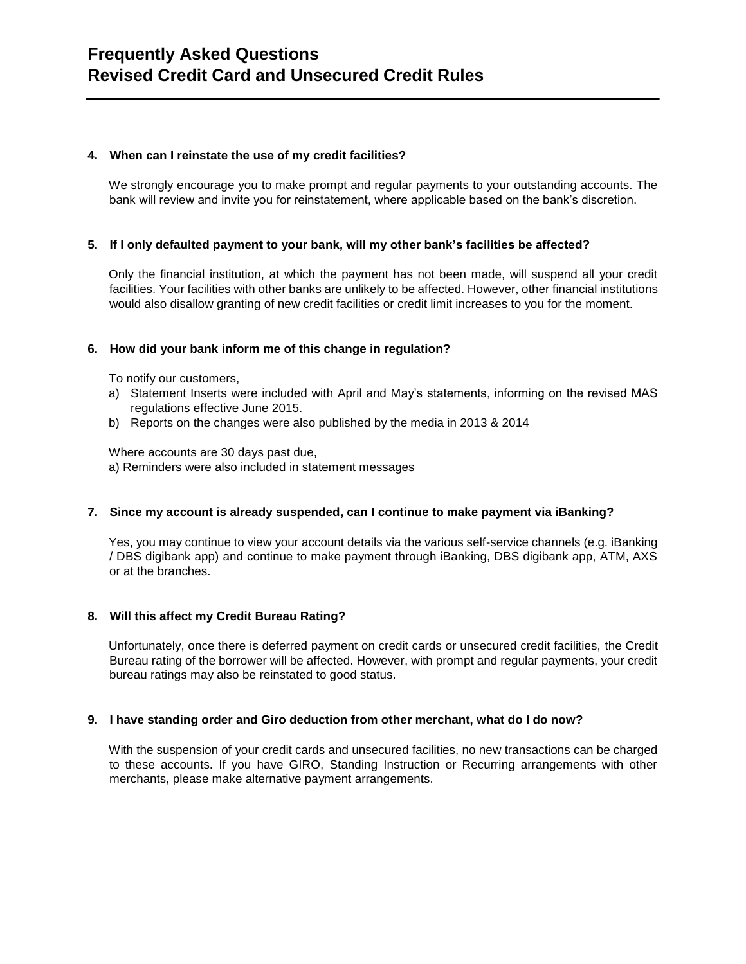#### **4. When can I reinstate the use of my credit facilities?**

We strongly encourage you to make prompt and regular payments to your outstanding accounts. The bank will review and invite you for reinstatement, where applicable based on the bank's discretion.

#### **5. If I only defaulted payment to your bank, will my other bank's facilities be affected?**

Only the financial institution, at which the payment has not been made, will suspend all your credit facilities. Your facilities with other banks are unlikely to be affected. However, other financial institutions would also disallow granting of new credit facilities or credit limit increases to you for the moment.

#### **6. How did your bank inform me of this change in regulation?**

To notify our customers,

- a) Statement Inserts were included with April and May's statements, informing on the revised MAS regulations effective June 2015.
- b) Reports on the changes were also published by the media in 2013 & 2014

Where accounts are 30 days past due,

a) Reminders were also included in statement messages

#### **7. Since my account is already suspended, can I continue to make payment via iBanking?**

Yes, you may continue to view your account details via the various self-service channels (e.g. iBanking / DBS digibank app) and continue to make payment through iBanking, DBS digibank app, ATM, AXS or at the branches.

#### **8. Will this affect my Credit Bureau Rating?**

Unfortunately, once there is deferred payment on credit cards or unsecured credit facilities, the Credit Bureau rating of the borrower will be affected. However, with prompt and regular payments, your credit bureau ratings may also be reinstated to good status.

#### **9. I have standing order and Giro deduction from other merchant, what do I do now?**

With the suspension of your credit cards and unsecured facilities, no new transactions can be charged to these accounts. If you have GIRO, Standing Instruction or Recurring arrangements with other merchants, please make alternative payment arrangements.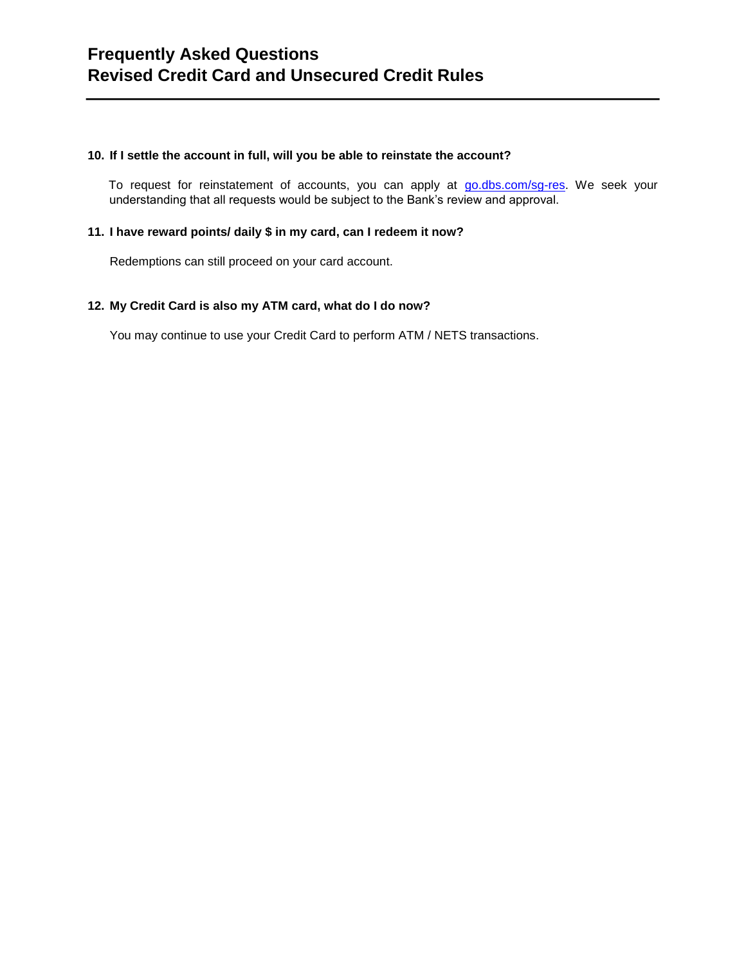#### **10. If I settle the account in full, will you be able to reinstate the account?**

To request for reinstatement of accounts, you can apply at go.dbs.com/sg-res. We seek your understanding that all requests would be subject to the Bank's review and approval.

#### **11. I have reward points/ daily \$ in my card, can I redeem it now?**

Redemptions can still proceed on your card account.

#### **12. My Credit Card is also my ATM card, what do I do now?**

You may continue to use your Credit Card to perform ATM / NETS transactions.